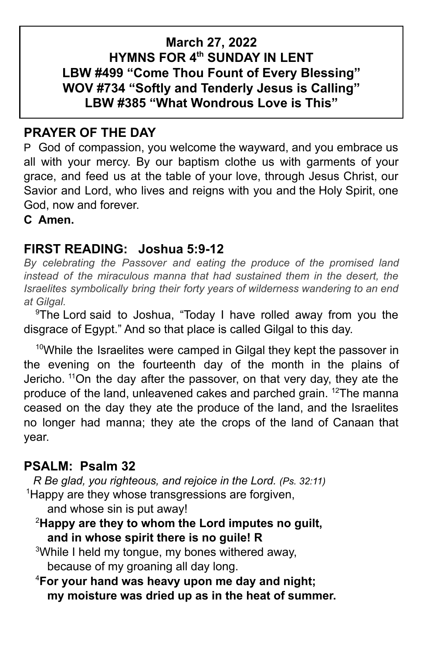## **March 27, 2022 HYMNS FOR 4th SUNDAY IN LENT LBW #499 "Come Thou Fount of Every Blessing" WOV #734 "Softly and Tenderly Jesus is Calling" LBW #385 "What Wondrous Love is This"**

# **PRAYER OF THE DAY**

P God of compassion, you welcome the wayward, and you embrace us all with your mercy. By our baptism clothe us with garments of your grace, and feed us at the table of your love, through Jesus Christ, our Savior and Lord, who lives and reigns with you and the Holy Spirit, one God, now and forever.

**C Amen.**

## **FIRST READING: Joshua 5:9-12**

*By celebrating the Passover and eating the produce of the promised land instead of the miraculous manna that had sustained them in the desert, the Israelites symbolically bring their forty years of wilderness wandering to an end at Gilgal.*

<sup>9</sup>The Lord said to Joshua, "Today I have rolled away from you the disgrace of Egypt." And so that place is called Gilgal to this day.

<sup>10</sup>While the Israelites were camped in Gilgal they kept the passover in the evening on the fourteenth day of the month in the plains of Jericho. <sup>11</sup>On the day after the passover, on that very day, they ate the produce of the land, unleavened cakes and parched grain. <sup>12</sup>The manna ceased on the day they ate the produce of the land, and the Israelites no longer had manna; they ate the crops of the land of Canaan that year.

## **PSALM: Psalm 32**

*R Be glad, you righteous, and rejoice in the Lord. (Ps. 32:11)* <sup>1</sup>Happy are they whose transgressions are forgiven,

and whose sin is put away!

<sup>2</sup>**Happy are they to whom the Lord imputes no guilt, and in whose spirit there is no guile! R**

<sup>3</sup>While I held my tongue, my bones withered away, because of my groaning all day long.

<sup>4</sup>**For your hand was heavy upon me day and night; my moisture was dried up as in the heat of summer.**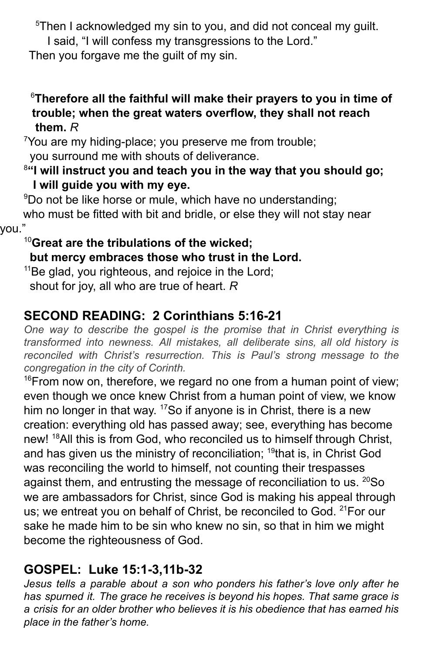<sup>5</sup>Then I acknowledged my sin to you, and did not conceal my guilt.

I said, "I will confess my transgressions to the Lord."

Then you forgave me the quilt of my sin.

### <sup>6</sup>**Therefore all the faithful will make their prayers to you in time of trouble; when the great waters overflow, they shall not reach them.** *R*

<sup>7</sup>You are my hiding-place; you preserve me from trouble; you surround me with shouts of deliverance.

### <sup>8</sup>**"I will instruct you and teach you in the way that you should go; I will guide you with my eye.**

<sup>9</sup>Do not be like horse or mule, which have no understanding; who must be fitted with bit and bridle, or else they will not stay near vou.

# <sup>10</sup>**Great are the tribulations of the wicked;**

### **but mercy embraces those who trust in the Lord.**

<sup>11</sup>Be glad, you righteous, and rejoice in the Lord; shout for joy, all who are true of heart. *R*

# **SECOND READING: 2 Corinthians 5:16-21**

*One way to describe the gospel is the promise that in Christ everything is transformed into newness. All mistakes, all deliberate sins, all old history is reconciled with Christ's resurrection. This is Paul's strong message to the congregation in the city of Corinth.*

 $16$ From now on, therefore, we regard no one from a human point of view; even though we once knew Christ from a human point of view, we know him no longer in that way. <sup>17</sup>So if anyone is in Christ, there is a new creation: everything old has passed away; see, everything has become new! <sup>18</sup>All this is from God, who reconciled us to himself through Christ, and has given us the ministry of reconciliation; <sup>19</sup>that is, in Christ God was reconciling the world to himself, not counting their trespasses against them, and entrusting the message of reconciliation to us. <sup>20</sup>So we are ambassadors for Christ, since God is making his appeal through us; we entreat you on behalf of Christ, be reconciled to God. <sup>21</sup> For our sake he made him to be sin who knew no sin, so that in him we might become the righteousness of God.

# **GOSPEL: Luke 15:1-3,11b-32**

*Jesus tells a parable about a son who ponders his father's love only after he has spurned it. The grace he receives is beyond his hopes. That same grace is a crisis for an older brother who believes it is his obedience that has earned his place in the father's home.*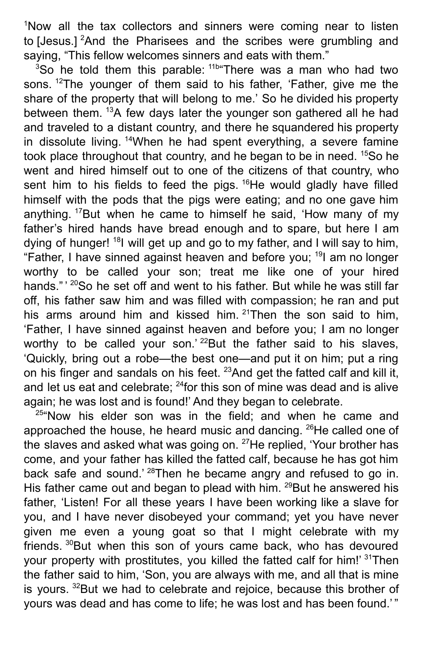<sup>1</sup>Now all the tax collectors and sinners were coming near to listen to [Jesus.] <sup>2</sup>And the Pharisees and the scribes were grumbling and saying, "This fellow welcomes sinners and eats with them."

<sup>3</sup>So he told them this parable: <sup>11b</sup> There was a man who had two sons. <sup>12</sup>The younger of them said to his father, 'Father, give me the share of the property that will belong to me.' So he divided his property between them. <sup>13</sup>A few days later the younger son gathered all he had and traveled to a distant country, and there he squandered his property in dissolute living. <sup>14</sup>When he had spent everything, a severe famine took place throughout that country, and he began to be in need. <sup>15</sup>So he went and hired himself out to one of the citizens of that country, who sent him to his fields to feed the pigs.  $16$ He would gladly have filled himself with the pods that the pigs were eating; and no one gave him anything. <sup>17</sup>But when he came to himself he said, 'How many of my father's hired hands have bread enough and to spare, but here I am dying of hunger! <sup>18</sup>l will get up and go to my father, and I will say to him, "Father, I have sinned against heaven and before you; <sup>19</sup>l am no longer worthy to be called your son; treat me like one of your hired hands."<sup>20</sup>So he set off and went to his father. But while he was still far off, his father saw him and was filled with compassion; he ran and put his arms around him and kissed him. <sup>21</sup>Then the son said to him, 'Father, I have sinned against heaven and before you; I am no longer worthy to be called your son.<sup>' 22</sup> But the father said to his slaves, 'Quickly, bring out a robe—the best one—and put it on him; put a ring on his finger and sandals on his feet. <sup>23</sup>And get the fatted calf and kill it, and let us eat and celebrate; <sup>24</sup> for this son of mine was dead and is alive again; he was lost and is found!' And they began to celebrate.

<sup>25</sup>"Now his elder son was in the field; and when he came and approached the house, he heard music and dancing.  $^{26}$ He called one of the slaves and asked what was going on. <sup>27</sup>He replied, 'Your brother has come, and your father has killed the fatted calf, because he has got him back safe and sound.<sup>' 28</sup>Then he became angry and refused to go in. His father came out and began to plead with him. <sup>29</sup> But he answered his father, 'Listen! For all these years I have been working like a slave for you, and I have never disobeyed your command; yet you have never given me even a young goat so that I might celebrate with my friends. <sup>30</sup>But when this son of yours came back, who has devoured your property with prostitutes, you killed the fatted calf for him!' <sup>31</sup>Then the father said to him, 'Son, you are always with me, and all that is mine is yours. <sup>32</sup>But we had to celebrate and rejoice, because this brother of yours was dead and has come to life; he was lost and has been found.'"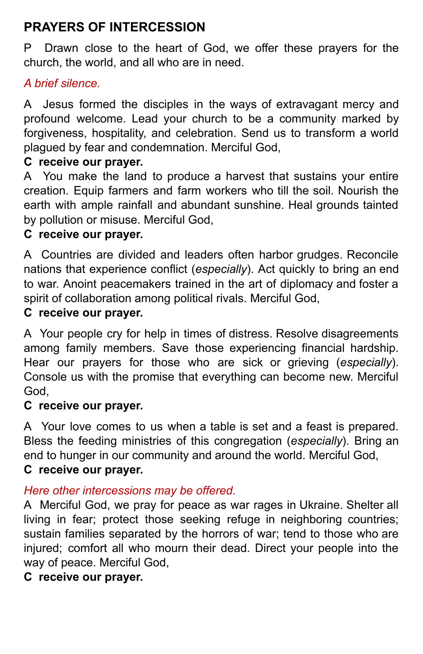# **PRAYERS OF INTERCESSION**

P Drawn close to the heart of God, we offer these prayers for the church, the world, and all who are in need.

### *A brief silence.*

A Jesus formed the disciples in the ways of extravagant mercy and profound welcome. Lead your church to be a community marked by forgiveness, hospitality, and celebration. Send us to transform a world plagued by fear and condemnation. Merciful God,

### **C receive our prayer.**

A You make the land to produce a harvest that sustains your entire creation. Equip farmers and farm workers who till the soil. Nourish the earth with ample rainfall and abundant sunshine. Heal grounds tainted by pollution or misuse. Merciful God,

# **C receive our prayer.**

A Countries are divided and leaders often harbor grudges. Reconcile nations that experience conflict (*especially*). Act quickly to bring an end to war. Anoint peacemakers trained in the art of diplomacy and foster a spirit of collaboration among political rivals. Merciful God,

## **C receive our prayer.**

A Your people cry for help in times of distress. Resolve disagreements among family members. Save those experiencing financial hardship. Hear our prayers for those who are sick or grieving (*especially*). Console us with the promise that everything can become new. Merciful God,

#### **C receive our prayer.**

A Your love comes to us when a table is set and a feast is prepared. Bless the feeding ministries of this congregation (*especially*). Bring an end to hunger in our community and around the world. Merciful God, **C receive our prayer.**

### *Here other intercessions may be offered.*

A Merciful God, we pray for peace as war rages in Ukraine. Shelter all living in fear; protect those seeking refuge in neighboring countries; sustain families separated by the horrors of war; tend to those who are injured; comfort all who mourn their dead. Direct your people into the way of peace. Merciful God,

### **C receive our prayer.**